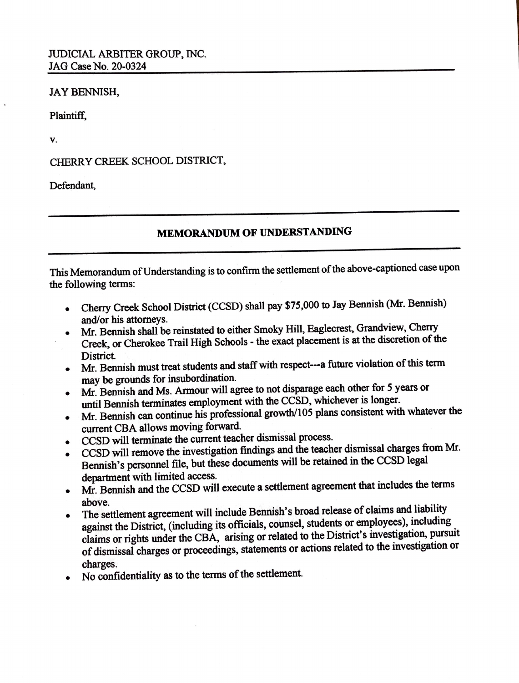## JAYBENNISH,

Plaintiff,

**V.** 

CHERRY CREEK SCHOOL DISTRICT,

Defendant,

## **MEMORANDUM OF UNDERSTANDING**

This Memorandum of Understanding is to confirm the settlement of the above-captioned case upon the following terms:

- Cherry Creek School District (CCSD) shall pay \$75,000 to Jay Bennish (Mr. Bennish) and/or his attorneys.
- Mr. Bennish shall be reinstated to either Smoky Hill, Eaglecrest, Grandview, Cherry Creek, or Cherokee Trail High Schools - the exact placement is at the discretion of the District.
- Mr. Bennish must treat students and staff with respect---a future violation of this term may be grounds for insubordination.
- Mr. Bennish and Ms. Armour will agree to not disparage each other for 5 years or until Bennish terminates employment with the CCSD, whichever is longer.
- $\bullet$  Mr. Bennish can continue his professional growth/105 plans consistent with whatever the current CBA allows moving forward.
- CCSD will terminate the current teacher dismissal process.
- CCSD will remove the investigation findings and the teacher dismissal charges from Mr.
- Bennish's personnel file, but these documents will be retained in the CCSD legal department with limited access.
- Mr. Bennish and the CCSD will execute a settlement agreement that includes the terms above.
- The settlement agreement will include Bennish's broad release of claims and liability against the District, (including its officials, counsel, students or employees), including claims or rights under the CBA, arising or related to the District's investigation, pursuit of dismissal charges or proceedings, statements or actions related to the investigation or charges.
- No confidentiality as to the terms of the settlement.